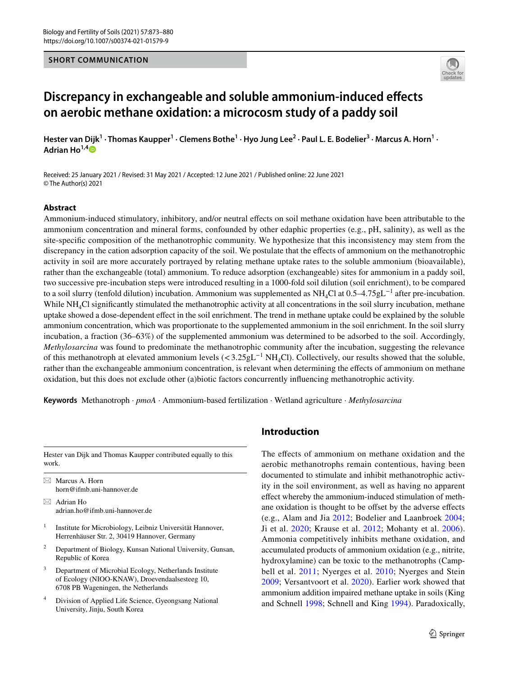#### **SHORT COMMUNICATION**



# **Discrepancy in exchangeable and soluble ammonium‑induced efects on aerobic methane oxidation: a microcosm study of a paddy soil**

Hester van Dijk<sup>1</sup> · Thomas Kaupper<sup>1</sup> · Clemens Bothe<sup>1</sup> · Hyo Jung Lee<sup>2</sup> · Paul L. E. Bodelier<sup>3</sup> · Marcus A. Horn<sup>1</sup> · **Adrian Ho1,[4](http://orcid.org/0000-0003-1082-2078)**

Received: 25 January 2021 / Revised: 31 May 2021 / Accepted: 12 June 2021 / Published online: 22 June 2021 © The Author(s) 2021

#### **Abstract**

Ammonium-induced stimulatory, inhibitory, and/or neutral efects on soil methane oxidation have been attributable to the ammonium concentration and mineral forms, confounded by other edaphic properties (e.g., pH, salinity), as well as the site-specifc composition of the methanotrophic community. We hypothesize that this inconsistency may stem from the discrepancy in the cation adsorption capacity of the soil. We postulate that the efects of ammonium on the methanotrophic activity in soil are more accurately portrayed by relating methane uptake rates to the soluble ammonium (bioavailable), rather than the exchangeable (total) ammonium. To reduce adsorption (exchangeable) sites for ammonium in a paddy soil, two successive pre-incubation steps were introduced resulting in a 1000-fold soil dilution (soil enrichment), to be compared to a soil slurry (tenfold dilution) incubation. Ammonium was supplemented as  $NH_4Cl$  at 0.5–4.75gL<sup>-1</sup> after pre-incubation. While  $NH<sub>4</sub>Cl$  significantly stimulated the methanotrophic activity at all concentrations in the soil slurry incubation, methane uptake showed a dose-dependent efect in the soil enrichment. The trend in methane uptake could be explained by the soluble ammonium concentration, which was proportionate to the supplemented ammonium in the soil enrichment. In the soil slurry incubation, a fraction (36–63%) of the supplemented ammonium was determined to be adsorbed to the soil. Accordingly, *Methylosarcina* was found to predominate the methanotrophic community after the incubation, suggesting the relevance of this methanotroph at elevated ammonium levels ( $\langle 3.25gL^{-1}NH_{4}Cl$ ). Collectively, our results showed that the soluble, rather than the exchangeable ammonium concentration, is relevant when determining the efects of ammonium on methane oxidation, but this does not exclude other (a)biotic factors concurrently infuencing methanotrophic activity.

**Keywords** Methanotroph · *pmoA* · Ammonium-based fertilization · Wetland agriculture · *Methylosarcina*

Hester van Dijk and Thomas Kaupper contributed equally to this work.

 $\boxtimes$  Marcus A. Horn horn@ifmb.uni-hannover.de

- $\boxtimes$  Adrian Ho adrian.ho@ifmb.uni-hannover.de
- <sup>1</sup> Institute for Microbiology, Leibniz Universität Hannover, Herrenhäuser Str. 2, 30419 Hannover, Germany
- <sup>2</sup> Department of Biology, Kunsan National University, Gunsan, Republic of Korea
- <sup>3</sup> Department of Microbial Ecology, Netherlands Institute of Ecology (NIOO-KNAW), Droevendaalsesteeg 10, 6708 PB Wageningen, the Netherlands
- Division of Applied Life Science, Gyeongsang National University, Jinju, South Korea

#### **Introduction**

The effects of ammonium on methane oxidation and the aerobic methanotrophs remain contentious, having been documented to stimulate and inhibit methanotrophic activity in the soil environment, as well as having no apparent efect whereby the ammonium-induced stimulation of methane oxidation is thought to be offset by the adverse effects (e.g., Alam and Jia [2012](#page-6-0); Bodelier and Laanbroek [2004](#page-6-1); Ji et al. [2020;](#page-7-0) Krause et al. [2012](#page-7-1); Mohanty et al. [2006](#page-7-2)). Ammonia competitively inhibits methane oxidation, and accumulated products of ammonium oxidation (e.g., nitrite, hydroxylamine) can be toxic to the methanotrophs (Campbell et al. [2011;](#page-6-2) Nyerges et al. [2010](#page-7-3); Nyerges and Stein [2009;](#page-7-4) Versantvoort et al. [2020\)](#page-7-5). Earlier work showed that ammonium addition impaired methane uptake in soils (King and Schnell [1998](#page-7-6); Schnell and King [1994\)](#page-7-7). Paradoxically,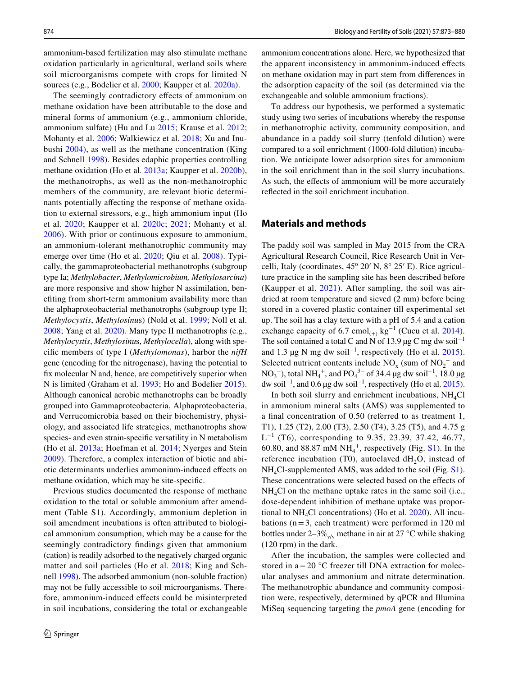ammonium-based fertilization may also stimulate methane oxidation particularly in agricultural, wetland soils where soil microorganisms compete with crops for limited N sources (e.g., Bodelier et al. [2000](#page-6-3); Kaupper et al. [2020a](#page-7-8)).

The seemingly contradictory efects of ammonium on methane oxidation have been attributable to the dose and mineral forms of ammonium (e.g., ammonium chloride, ammonium sulfate) (Hu and Lu [2015](#page-7-9); Krause et al. [2012](#page-7-1); Mohanty et al. [2006;](#page-7-2) Walkiewicz et al. [2018;](#page-7-10) Xu and Inubushi [2004](#page-7-11)), as well as the methane concentration (King and Schnell [1998](#page-7-6)). Besides edaphic properties controlling methane oxidation (Ho et al. [2013a](#page-7-12); Kaupper et al. [2020b](#page-7-13)), the methanotrophs, as well as the non-methanotrophic members of the community, are relevant biotic determinants potentially affecting the response of methane oxidation to external stressors, e.g., high ammonium input (Ho et al. [2020;](#page-7-14) Kaupper et al. [2020c](#page-7-15); [2021](#page-7-16); Mohanty et al. [2006\)](#page-7-2). With prior or continuous exposure to ammonium, an ammonium-tolerant methanotrophic community may emerge over time (Ho et al. [2020](#page-7-14); Qiu et al. [2008\)](#page-7-17). Typically, the gammaproteobacterial methanotrophs (subgroup type Ia; *Methylobacter*, *Methylomicrobium, Methylosarcina*) are more responsive and show higher N assimilation, benefting from short-term ammonium availability more than the alphaproteobacterial methanotrophs (subgroup type II; *Methylocystis*, *Methylosinu*s) (Nold et al. [1999](#page-7-18); Noll et al. [2008](#page-7-19); Yang et al. [2020\)](#page-7-20). Many type II methanotrophs (e.g., *Methylocystis*, *Methylosinu*s, *Methylocella*), along with specifc members of type I (*Methylomonas*), harbor the *nifH* gene (encoding for the nitrogenase), having the potential to fx molecular N and, hence, are competitively superior when N is limited (Graham et al. [1993;](#page-6-4) Ho and Bodelier [2015](#page-6-5)). Although canonical aerobic methanotrophs can be broadly grouped into Gammaproteobacteria, Alphaproteobacteria, and Verrucomicrobia based on their biochemistry, physiology, and associated life strategies, methanotrophs show species- and even strain-specifc versatility in N metabolism (Ho et al. [2013a](#page-7-12); Hoefman et al. [2014](#page-7-21); Nyerges and Stein [2009](#page-7-4)). Therefore, a complex interaction of biotic and abiotic determinants underlies ammonium-induced efects on methane oxidation, which may be site-specifc.

Previous studies documented the response of methane oxidation to the total or soluble ammonium after amendment (Table S1). Accordingly, ammonium depletion in soil amendment incubations is often attributed to biological ammonium consumption, which may be a cause for the seemingly contradictory fndings given that ammonium (cation) is readily adsorbed to the negatively charged organic matter and soil particles (Ho et al. [2018;](#page-7-22) King and Schnell [1998\)](#page-7-6). The adsorbed ammonium (non-soluble fraction) may not be fully accessible to soil microorganisms. Therefore, ammonium-induced efects could be misinterpreted in soil incubations, considering the total or exchangeable ammonium concentrations alone. Here, we hypothesized that the apparent inconsistency in ammonium-induced efects on methane oxidation may in part stem from diferences in the adsorption capacity of the soil (as determined via the exchangeable and soluble ammonium fractions).

To address our hypothesis, we performed a systematic study using two series of incubations whereby the response in methanotrophic activity, community composition, and abundance in a paddy soil slurry (tenfold dilution) were compared to a soil enrichment (1000-fold dilution) incubation. We anticipate lower adsorption sites for ammonium in the soil enrichment than in the soil slurry incubations. As such, the effects of ammonium will be more accurately refected in the soil enrichment incubation.

## **Materials and methods**

The paddy soil was sampled in May 2015 from the CRA Agricultural Research Council, Rice Research Unit in Vercelli, Italy (coordinates, 45° 20' N, 8° 25' E). Rice agriculture practice in the sampling site has been described before (Kaupper et al. [2021](#page-7-16)). After sampling, the soil was airdried at room temperature and sieved (2 mm) before being stored in a covered plastic container till experimental set up. The soil has a clay texture with a pH of 5.4 and a cation exchange capacity of 6.7 cmol<sub>(+)</sub> kg<sup>-1</sup> (Cucu et al. [2014](#page-6-6)). The soil contained a total C and N of 13.9 µg C mg dw soil<sup>-1</sup> and 1.3 µg N mg dw soil−1, respectively (Ho et al. [2015](#page-7-23)). Selected nutrient contents include  $NO_x$  (sum of  $NO_2^-$  and NO<sub>3</sub><sup>-</sup>), total NH<sub>4</sub><sup>+</sup>, and PO<sub>4</sub><sup>3-</sup> of 34.4 µg dw soil<sup>-1</sup>, 18.0 µg dw soil<sup>-1</sup>, and 0.6 µg dw soil<sup>-1</sup>, respectively (Ho et al. [2015](#page-7-23)).

In both soil slurry and enrichment incubations,  $NH<sub>4</sub>Cl$ in ammonium mineral salts (AMS) was supplemented to a fnal concentration of 0.50 (referred to as treatment 1, T1), 1.25 (T2), 2.00 (T3), 2.50 (T4), 3.25 (T5), and 4.75 g  $L^{-1}$  (T6), corresponding to 9.35, 23.39, 37.42, 46.77, 60.80, and 88.87 mM  $NH_4^+$ , respectively (Fig. S1). In the reference incubation (T0), autoclaved  $dH_2O$ , instead of NH4Cl-supplemented AMS, was added to the soil (Fig. S1). These concentrations were selected based on the effects of  $NH<sub>4</sub>Cl$  on the methane uptake rates in the same soil (i.e., dose-dependent inhibition of methane uptake was proportional to  $NH<sub>4</sub>Cl$  concentrations) (Ho et al. [2020](#page-7-14)). All incubations (n=3, each treatment) were performed in 120 ml bottles under 2–3% $v_{\rm v/v}$  methane in air at 27 °C while shaking (120 rpm) in the dark.

After the incubation, the samples were collected and stored in a−20 °C freezer till DNA extraction for molecular analyses and ammonium and nitrate determination. The methanotrophic abundance and community composition were, respectively, determined by qPCR and Illumina MiSeq sequencing targeting the *pmoA* gene (encoding for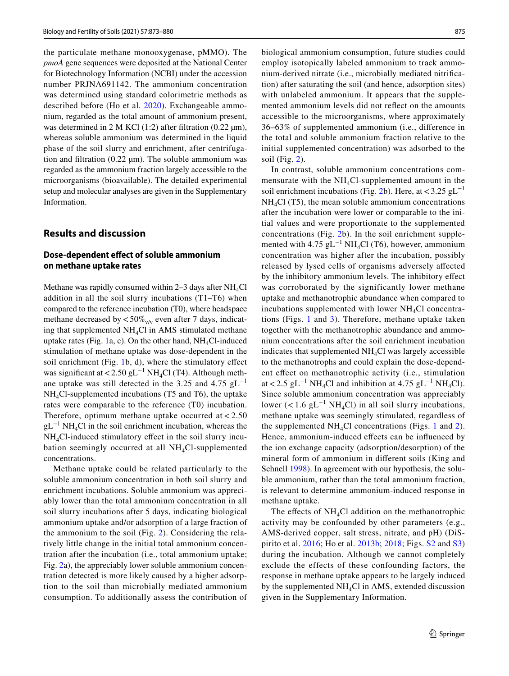the particulate methane monooxygenase, pMMO). The *pmoA* gene sequences were deposited at the National Center for Biotechnology Information (NCBI) under the accession number PRJNA691142. The ammonium concentration was determined using standard colorimetric methods as described before (Ho et al. [2020](#page-7-14)). Exchangeable ammonium, regarded as the total amount of ammonium present, was determined in 2 M KCl  $(1:2)$  after filtration  $(0.22 \mu m)$ , whereas soluble ammonium was determined in the liquid phase of the soil slurry and enrichment, after centrifugation and filtration  $(0.22 \mu m)$ . The soluble ammonium was regarded as the ammonium fraction largely accessible to the microorganisms (bioavailable). The detailed experimental setup and molecular analyses are given in the Supplementary Information.

## **Results and discussion**

#### **Dose‑dependent efect of soluble ammonium on methane uptake rates**

Methane was rapidly consumed within  $2-3$  days after NH<sub>4</sub>Cl addition in all the soil slurry incubations (T1–T6) when compared to the reference incubation (T0), where headspace methane decreased by  $< 50\%_{\rm v/v}$  even after 7 days, indicating that supplemented  $NH<sub>4</sub>Cl$  in AMS stimulated methane uptake rates (Fig. [1a](#page-3-0), c). On the other hand,  $NH<sub>4</sub>Cl$ -induced stimulation of methane uptake was dose-dependent in the soil enrichment (Fig. [1b](#page-3-0), d), where the stimulatory efect was significant at <2.50 gL<sup>-1</sup> NH<sub>4</sub>Cl (T4). Although methane uptake was still detected in the 3.25 and 4.75  $gL^{-1}$  $NH<sub>4</sub>Cl-supplemented incubations (T5 and T6), the uptake$ rates were comparable to the reference (T0) incubation. Therefore, optimum methane uptake occurred at  $< 2.50$  $gL^{-1} NH<sub>4</sub>Cl$  in the soil enrichment incubation, whereas the NH4Cl-induced stimulatory efect in the soil slurry incubation seemingly occurred at all  $NH<sub>4</sub>Cl$ -supplemented concentrations.

Methane uptake could be related particularly to the soluble ammonium concentration in both soil slurry and enrichment incubations. Soluble ammonium was appreciably lower than the total ammonium concentration in all soil slurry incubations after 5 days, indicating biological ammonium uptake and/or adsorption of a large fraction of the ammonium to the soil (Fig. [2\)](#page-4-0). Considering the relatively little change in the initial total ammonium concentration after the incubation (i.e., total ammonium uptake; Fig. [2a](#page-4-0)), the appreciably lower soluble ammonium concentration detected is more likely caused by a higher adsorption to the soil than microbially mediated ammonium consumption. To additionally assess the contribution of biological ammonium consumption, future studies could employ isotopically labeled ammonium to track ammonium-derived nitrate (i.e., microbially mediated nitrifcation) after saturating the soil (and hence, adsorption sites) with unlabeled ammonium. It appears that the supplemented ammonium levels did not refect on the amounts accessible to the microorganisms, where approximately 36–63% of supplemented ammonium (i.e., diference in the total and soluble ammonium fraction relative to the initial supplemented concentration) was adsorbed to the soil (Fig. [2\)](#page-4-0).

In contrast, soluble ammonium concentrations commensurate with the  $NH<sub>4</sub>Cl$ -supplemented amount in the soil enrichment incubations (Fig. [2b](#page-4-0)). Here, at <3.25 gL<sup>-1</sup>  $NH<sub>4</sub>Cl$  (T5), the mean soluble ammonium concentrations after the incubation were lower or comparable to the initial values and were proportionate to the supplemented concentrations (Fig. [2](#page-4-0)b). In the soil enrichment supplemented with 4.75  $gL^{-1}NH<sub>4</sub>Cl$  (T6), however, ammonium concentration was higher after the incubation, possibly released by lysed cells of organisms adversely afected by the inhibitory ammonium levels. The inhibitory efect was corroborated by the significantly lower methane uptake and methanotrophic abundance when compared to incubations supplemented with lower  $NH<sub>4</sub>Cl$  concentrations (Figs. [1](#page-3-0) and [3\)](#page-5-0). Therefore, methane uptake taken together with the methanotrophic abundance and ammonium concentrations after the soil enrichment incubation indicates that supplemented  $NH<sub>4</sub>Cl$  was largely accessible to the methanotrophs and could explain the dose-dependent efect on methanotrophic activity (i.e., stimulation at <2.5 gL<sup>-1</sup> NH<sub>4</sub>Cl and inhibition at 4.75 gL<sup>-1</sup> NH<sub>4</sub>Cl). Since soluble ammonium concentration was appreciably lower (<1.6 gL<sup>-1</sup> NH<sub>4</sub>Cl) in all soil slurry incubations, methane uptake was seemingly stimulated, regardless of the supplemented  $NH<sub>4</sub>Cl$  concentrations (Figs. [1](#page-3-0) and [2](#page-4-0)). Hence, ammonium-induced effects can be influenced by the ion exchange capacity (adsorption/desorption) of the mineral form of ammonium in diferent soils (King and Schnell [1998](#page-7-6)). In agreement with our hypothesis, the soluble ammonium, rather than the total ammonium fraction, is relevant to determine ammonium-induced response in methane uptake.

The effects of  $NH<sub>4</sub>Cl$  addition on the methanotrophic activity may be confounded by other parameters (e.g., AMS-derived copper, salt stress, nitrate, and pH) (DiSpirito et al. [2016](#page-6-7); Ho et al. [2013b](#page-7-24); [2018;](#page-7-22) Figs. S2 and S3) during the incubation. Although we cannot completely exclude the effects of these confounding factors, the response in methane uptake appears to be largely induced by the supplemented  $NH<sub>4</sub>Cl$  in AMS, extended discussion given in the Supplementary Information.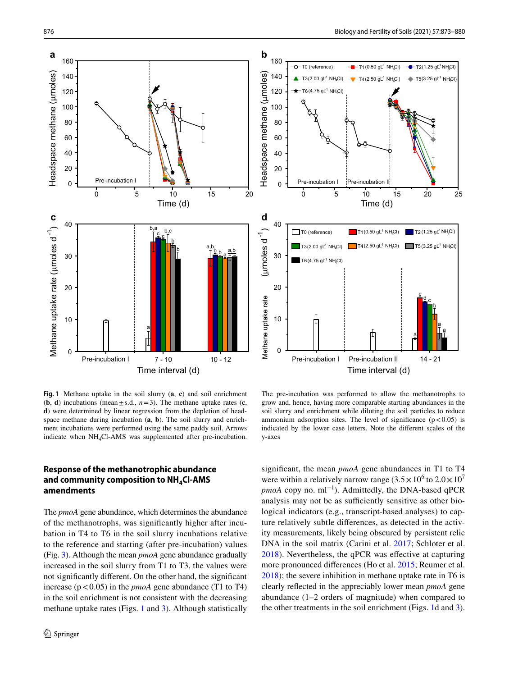



<span id="page-3-0"></span>**Fig. 1** Methane uptake in the soil slurry (**a**, **c**) and soil enrichment (**b**, **d**) incubations (mean  $\pm$  s.d.,  $n=3$ ). The methane uptake rates (**c**, **d**) were determined by linear regression from the depletion of headspace methane during incubation (**a**, **b**). The soil slurry and enrichment incubations were performed using the same paddy soil. Arrows indicate when NH4Cl-AMS was supplemented after pre-incubation.

The pre-incubation was performed to allow the methanotrophs to grow and, hence, having more comparable starting abundances in the soil slurry and enrichment while diluting the soil particles to reduce ammonium adsorption sites. The level of significance  $(p<0.05)$  is indicated by the lower case letters. Note the diferent scales of the y-axes

## **Response of the methanotrophic abundance**  and community composition to NH<sub>4</sub>Cl-AMS **amendments**

The *pmoA* gene abundance, which determines the abundance of the methanotrophs, was signifcantly higher after incubation in T4 to T6 in the soil slurry incubations relative to the reference and starting (after pre-incubation) values (Fig. [3\)](#page-5-0). Although the mean *pmoA* gene abundance gradually increased in the soil slurry from T1 to T3, the values were not signifcantly diferent. On the other hand, the signifcant increase  $(p < 0.05)$  in the *pmoA* gene abundance (T1 to T4) in the soil enrichment is not consistent with the decreasing methane uptake rates (Figs. [1](#page-3-0) and [3](#page-5-0)). Although statistically signifcant, the mean *pmoA* gene abundances in T1 to T4 were within a relatively narrow range  $(3.5 \times 10^6$  to  $2.0 \times 10^7$ *pmoA* copy no. ml<sup>−1</sup>). Admittedly, the DNA-based qPCR analysis may not be as sufficiently sensitive as other biological indicators (e.g., transcript-based analyses) to capture relatively subtle diferences, as detected in the activity measurements, likely being obscured by persistent relic DNA in the soil matrix (Carini et al. [2017](#page-6-8); Schloter et al. [2018\)](#page-7-25). Nevertheless, the qPCR was efective at capturing more pronounced diferences (Ho et al. [2015;](#page-7-23) Reumer et al. [2018](#page-7-26)); the severe inhibition in methane uptake rate in T6 is clearly refected in the appreciably lower mean *pmoA* gene abundance (1–2 orders of magnitude) when compared to the other treatments in the soil enrichment (Figs. [1](#page-3-0)d and [3](#page-5-0)).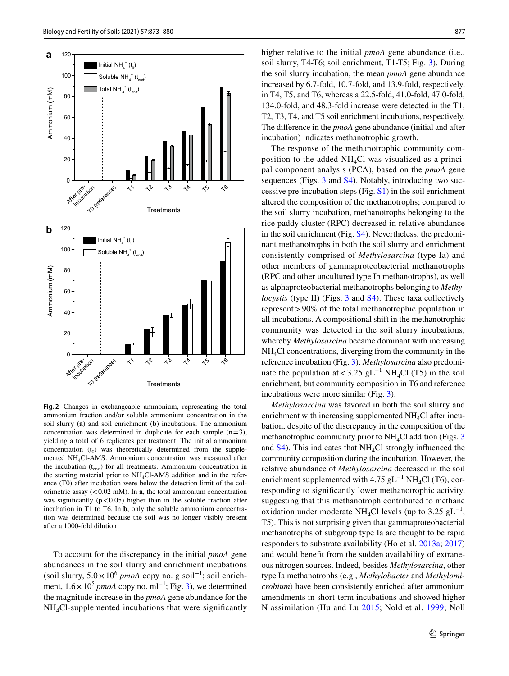



<span id="page-4-0"></span>**Fig. 2** Changes in exchangeable ammonium, representing the total ammonium fraction and/or soluble ammonium concentration in the soil slurry (**a**) and soil enrichment (**b**) incubations. The ammonium concentration was determined in duplicate for each sample  $(n=3)$ , yielding a total of 6 replicates per treatment. The initial ammonium concentration  $(t_0)$  was theoretically determined from the supplemented NH4Cl-AMS. Ammonium concentration was measured after the incubation  $(t_{end})$  for all treatments. Ammonium concentration in the starting material prior to  $NH<sub>4</sub>Cl-AMS$  addition and in the reference (T0) after incubation were below the detection limit of the colorimetric assay  $(< 0.02$  mM). In **a**, the total ammonium concentration was significantly  $(p<0.05)$  higher than in the soluble fraction after incubation in T1 to T6. In **b**, only the soluble ammonium concentration was determined because the soil was no longer visibly present after a 1000-fold dilution

To account for the discrepancy in the initial *pmoA* gene abundances in the soil slurry and enrichment incubations (soil slurry,  $5.0 \times 10^6$  *pmoA* copy no. g soil<sup>-1</sup>; soil enrichment,  $1.6 \times 10^5$  *pmoA* copy no. ml<sup>-1</sup>; Fig. [3](#page-5-0)), we determined the magnitude increase in the *pmoA* gene abundance for the NH4Cl-supplemented incubations that were signifcantly

higher relative to the initial *pmoA* gene abundance (i.e., soil slurry, T4-T6; soil enrichment, T1-T5; Fig. [3\)](#page-5-0). During the soil slurry incubation, the mean *pmoA* gene abundance increased by 6.7-fold, 10.7-fold, and 13.9-fold, respectively, in T4, T5, and T6, whereas a 22.5-fold, 41.0-fold, 47.0-fold, 134.0-fold, and 48.3-fold increase were detected in the T1, T2, T3, T4, and T5 soil enrichment incubations, respectively. The diference in the *pmoA* gene abundance (initial and after incubation) indicates methanotrophic growth.

The response of the methanotrophic community composition to the added  $NH<sub>4</sub>Cl$  was visualized as a principal component analysis (PCA), based on the *pmoA* gene sequences (Figs. [3](#page-5-0) and S4). Notably, introducing two successive pre-incubation steps (Fig. S1) in the soil enrichment altered the composition of the methanotrophs; compared to the soil slurry incubation, methanotrophs belonging to the rice paddy cluster (RPC) decreased in relative abundance in the soil enrichment (Fig. S4). Nevertheless, the predominant methanotrophs in both the soil slurry and enrichment consistently comprised of *Methylosarcina* (type Ia) and other members of gammaproteobacterial methanotrophs (RPC and other uncultured type Ib methanotrophs), as well as alphaproteobacterial methanotrophs belonging to *Methylocystis* (type II) (Figs. [3](#page-5-0) and S4). These taxa collectively represent>90% of the total methanotrophic population in all incubations. A compositional shift in the methanotrophic community was detected in the soil slurry incubations, whereby *Methylosarcina* became dominant with increasing NH4Cl concentrations, diverging from the community in the reference incubation (Fig. [3](#page-5-0)). *Methylosarcina* also predominate the population at <3.25 gL<sup>-1</sup> NH<sub>4</sub>Cl (T5) in the soil enrichment, but community composition in T6 and reference incubations were more similar (Fig. [3\)](#page-5-0).

*Methylosarcina* was favored in both the soil slurry and enrichment with increasing supplemented  $NH<sub>4</sub>Cl$  after incubation, despite of the discrepancy in the composition of the methanotrophic community prior to  $NH<sub>4</sub>Cl$  addition (Figs. [3](#page-5-0)) and  $S_4$ ). This indicates that NH<sub>4</sub>Cl strongly influenced the community composition during the incubation. However, the relative abundance of *Methylosarcina* decreased in the soil enrichment supplemented with 4.75 gL<sup>-1</sup> NH<sub>4</sub>Cl (T6), corresponding to signifcantly lower methanotrophic activity, suggesting that this methanotroph contributed to methane oxidation under moderate NH<sub>4</sub>Cl levels (up to 3.25 gL<sup>-1</sup>, T5). This is not surprising given that gammaproteobacterial methanotrophs of subgroup type Ia are thought to be rapid responders to substrate availability (Ho et al. [2013a](#page-7-12); [2017\)](#page-7-27) and would beneft from the sudden availability of extraneous nitrogen sources. Indeed, besides *Methylosarcina*, other type Ia methanotrophs (e.g., *Methylobacter* and *Methylomicrobium*) have been consistently enriched after ammonium amendments in short-term incubations and showed higher N assimilation (Hu and Lu [2015](#page-7-9); Nold et al. [1999;](#page-7-18) Noll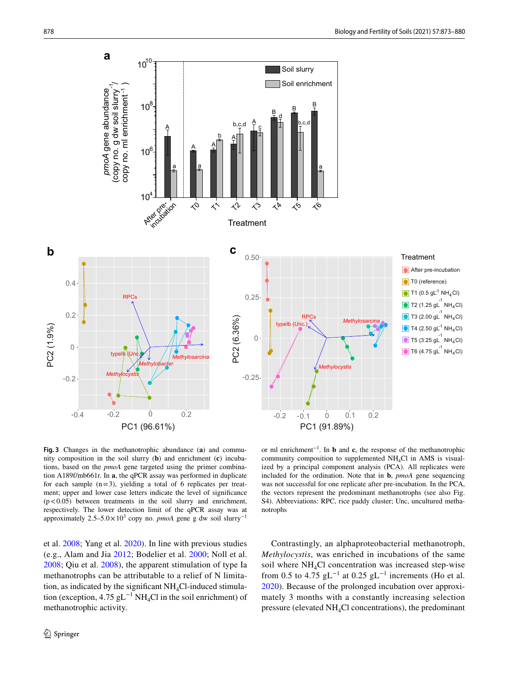

<span id="page-5-0"></span>**Fig. 3** Changes in the methanotrophic abundance (**a**) and community composition in the soil slurry (**b**) and enrichment (**c**) incubations, based on the *pmoA* gene targeted using the primer combination A189f/mb661r. In **a**, the qPCR assay was performed in duplicate for each sample  $(n=3)$ , yielding a total of 6 replicates per treatment; upper and lower case letters indicate the level of signifcance  $(p<0.05)$  between treatments in the soil slurry and enrichment, respectively. The lower detection limit of the qPCR assay was at approximately  $2.5-5.0 \times 10^3$  copy no. *pmoA* gene g dw soil slurry<sup>-1</sup>

et al. [2008;](#page-7-19) Yang et al. [2020\)](#page-7-20). In line with previous studies (e.g., Alam and Jia [2012](#page-6-0); Bodelier et al. [2000;](#page-6-3) Noll et al. [2008](#page-7-19); Qiu et al. [2008\)](#page-7-17), the apparent stimulation of type Ia methanotrophs can be attributable to a relief of N limitation, as indicated by the significant  $NH<sub>4</sub>Cl$ -induced stimulation (exception, 4.75 gL<sup>-1</sup> NH<sub>4</sub>Cl in the soil enrichment) of methanotrophic activity.

or ml enrichment−1. In **b** and **c**, the response of the methanotrophic community composition to supplemented  $NH<sub>4</sub>Cl$  in AMS is visualized by a principal component analysis (PCA). All replicates were included for the ordination. Note that in **b**, *pmoA* gene sequencing was not successful for one replicate after pre-incubation. In the PCA, the vectors represent the predominant methanotrophs (see also Fig. S4). Abbreviations: RPC, rice paddy cluster; Unc, uncultured methanotrophs

Contrastingly, an alphaproteobacterial methanotroph, *Methylocystis*, was enriched in incubations of the same soil where  $NH<sub>4</sub>Cl$  concentration was increased step-wise from 0.5 to 4.75 gL<sup>-1</sup> at 0.25 gL<sup>-1</sup> increments (Ho et al. [2020\)](#page-7-14). Because of the prolonged incubation over approximately 3 months with a constantly increasing selection pressure (elevated  $NH<sub>4</sub>Cl$  concentrations), the predominant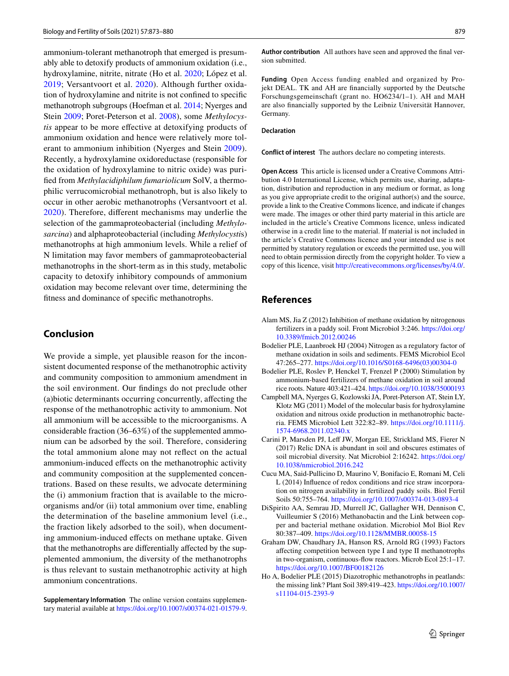ammonium-tolerant methanotroph that emerged is presumably able to detoxify products of ammonium oxidation (i.e., hydroxylamine, nitrite, nitrate (Ho et al. [2020;](#page-7-14) López et al. [2019;](#page-7-28) Versantvoort et al. [2020](#page-7-5)). Although further oxidation of hydroxylamine and nitrite is not confned to specifc methanotroph subgroups (Hoefman et al. [2014;](#page-7-21) Nyerges and Stein [2009](#page-7-4); Poret-Peterson et al. [2008\)](#page-7-29), some *Methylocystis* appear to be more efective at detoxifying products of ammonium oxidation and hence were relatively more tolerant to ammonium inhibition (Nyerges and Stein [2009](#page-7-4)). Recently, a hydroxylamine oxidoreductase (responsible for the oxidation of hydroxylamine to nitric oxide) was purifed from *Methylacidiphilum fumariolicum* SolV, a thermophilic verrucomicrobial methanotroph, but is also likely to occur in other aerobic methanotrophs (Versantvoort et al. [2020\)](#page-7-5). Therefore, diferent mechanisms may underlie the selection of the gammaproteobacterial (including *Methylosarcina*) and alphaproteobacterial (including *Methylocysti*s) methanotrophs at high ammonium levels. While a relief of N limitation may favor members of gammaproteobacterial methanotrophs in the short-term as in this study, metabolic capacity to detoxify inhibitory compounds of ammonium oxidation may become relevant over time, determining the ftness and dominance of specifc methanotrophs.

#### **Conclusion**

We provide a simple, yet plausible reason for the inconsistent documented response of the methanotrophic activity and community composition to ammonium amendment in the soil environment. Our fndings do not preclude other (a)biotic determinants occurring concurrently, afecting the response of the methanotrophic activity to ammonium. Not all ammonium will be accessible to the microorganisms. A considerable fraction (36–63%) of the supplemented ammonium can be adsorbed by the soil. Therefore, considering the total ammonium alone may not refect on the actual ammonium-induced efects on the methanotrophic activity and community composition at the supplemented concentrations. Based on these results, we advocate determining the (i) ammonium fraction that is available to the microorganisms and/or (ii) total ammonium over time, enabling the determination of the baseline ammonium level (i.e., the fraction likely adsorbed to the soil), when documenting ammonium-induced efects on methane uptake. Given that the methanotrophs are differentially affected by the supplemented ammonium, the diversity of the methanotrophs is thus relevant to sustain methanotrophic activity at high ammonium concentrations.

**Supplementary Information** The online version contains supplementary material available at<https://doi.org/10.1007/s00374-021-01579-9>. **Author contribution** All authors have seen and approved the fnal version submitted.

**Funding** Open Access funding enabled and organized by Projekt DEAL. TK and AH are fnancially supported by the Deutsche Forschungsgemeinschaft (grant no. HO6234/1–1). AH and MAH are also fnancially supported by the Leibniz Universität Hannover, Germany.

#### **Declaration**

**Conflict of interest** The authors declare no competing interests.

**Open Access** This article is licensed under a Creative Commons Attribution 4.0 International License, which permits use, sharing, adaptation, distribution and reproduction in any medium or format, as long as you give appropriate credit to the original author(s) and the source, provide a link to the Creative Commons licence, and indicate if changes were made. The images or other third party material in this article are included in the article's Creative Commons licence, unless indicated otherwise in a credit line to the material. If material is not included in the article's Creative Commons licence and your intended use is not permitted by statutory regulation or exceeds the permitted use, you will need to obtain permission directly from the copyright holder. To view a copy of this licence, visit<http://creativecommons.org/licenses/by/4.0/>.

#### **References**

- <span id="page-6-0"></span>Alam MS, Jia Z (2012) Inhibition of methane oxidation by nitrogenous fertilizers in a paddy soil. Front Microbiol 3:246. [https://doi.org/](https://doi.org/10.3389/fmicb.2012.00246) [10.3389/fmicb.2012.00246](https://doi.org/10.3389/fmicb.2012.00246)
- <span id="page-6-1"></span>Bodelier PLE, Laanbroek HJ (2004) Nitrogen as a regulatory factor of methane oxidation in soils and sediments. FEMS Microbiol Ecol 47:265–277. [https://doi.org/10.1016/S0168-6496\(03\)00304-0](https://doi.org/10.1016/S0168-6496(03)00304-0)
- <span id="page-6-3"></span>Bodelier PLE, Roslev P, Henckel T, Frenzel P (2000) Stimulation by ammonium-based fertilizers of methane oxidation in soil around rice roots. Nature 403:421–424. <https://doi.org/10.1038/35000193>
- <span id="page-6-2"></span>Campbell MA, Nyerges G, Kozlowski JA, Poret-Peterson AT, Stein LY, Klotz MG (2011) Model of the molecular basis for hydroxylamine oxidation and nitrous oxide production in methanotrophic bacteria. FEMS Microbiol Lett 322:82–89. [https://doi.org/10.1111/j.](https://doi.org/10.1111/j.1574-6968.2011.02340.x) [1574-6968.2011.02340.x](https://doi.org/10.1111/j.1574-6968.2011.02340.x)
- <span id="page-6-8"></span>Carini P, Marsden PJ, Lef JW, Morgan EE, Strickland MS, Fierer N (2017) Relic DNA is abundant in soil and obscures estimates of soil microbial diversity. Nat Microbiol 2:16242. [https://doi.org/](https://doi.org/10.1038/nmicrobiol.2016.242) [10.1038/nmicrobiol.2016.242](https://doi.org/10.1038/nmicrobiol.2016.242)
- <span id="page-6-6"></span>Cucu MA, Said-Pullicino D, Maurino V, Bonifacio E, Romani M, Celi L (2014) Infuence of redox conditions and rice straw incorporation on nitrogen availability in fertilized paddy soils. Biol Fertil Soils 50:755–764. <https://doi.org/10.1007/s00374-013-0893-4>
- <span id="page-6-7"></span>DiSpirito AA, Semrau JD, Murrell JC, Gallagher WH, Dennison C, Vuilleumier S (2016) Methanobactin and the Link between copper and bacterial methane oxidation. Microbiol Mol Biol Rev 80:387–409.<https://doi.org/10.1128/MMBR.00058-15>
- <span id="page-6-4"></span>Graham DW, Chaudhary JA, Hanson RS, Arnold RG (1993) Factors afecting competition between type I and type II methanotrophs in two-organism, continuous-fow reactors. Microb Ecol 25:1–17. <https://doi.org/10.1007/BF00182126>
- <span id="page-6-5"></span>Ho A, Bodelier PLE (2015) Diazotrophic methanotrophs in peatlands: the missing link? Plant Soil 389:419–423. [https://doi.org/10.1007/](https://doi.org/10.1007/s11104-015-2393-9) [s11104-015-2393-9](https://doi.org/10.1007/s11104-015-2393-9)